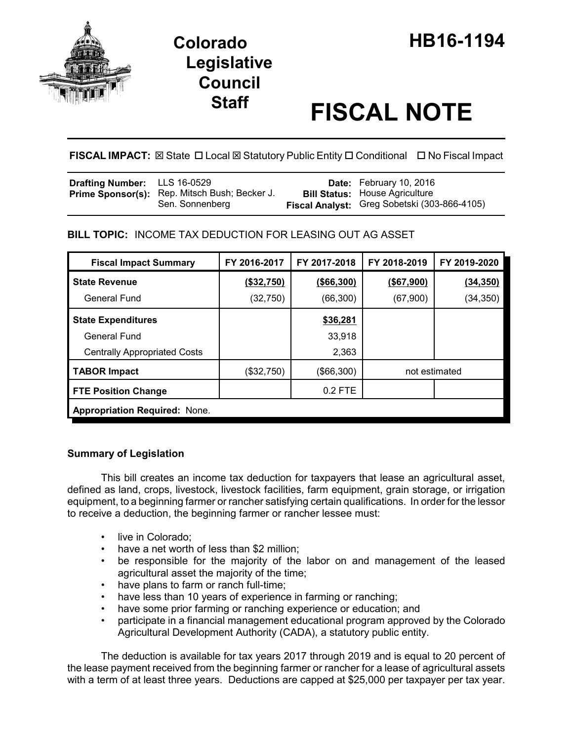

# **Staff FISCAL NOTE**

**FISCAL IMPACT:** ⊠ State □ Local ⊠ Statutory Public Entity □ Conditional □ No Fiscal Impact

| <b>Drafting Number:</b> LLS 16-0529 |                                                                  | <b>Date:</b> February 10, 2016                                                        |
|-------------------------------------|------------------------------------------------------------------|---------------------------------------------------------------------------------------|
|                                     | Prime Sponsor(s): Rep. Mitsch Bush; Becker J.<br>Sen. Sonnenberg | <b>Bill Status: House Agriculture</b><br>Fiscal Analyst: Greg Sobetski (303-866-4105) |

## **BILL TOPIC:** INCOME TAX DEDUCTION FOR LEASING OUT AG ASSET

| <b>Fiscal Impact Summary</b>         | FY 2016-2017 | FY 2017-2018 | FY 2018-2019  | FY 2019-2020 |  |  |
|--------------------------------------|--------------|--------------|---------------|--------------|--|--|
| <b>State Revenue</b>                 | (\$32,750)   | ( \$66, 300) | ( \$67, 900)  | (34, 350)    |  |  |
| <b>General Fund</b>                  | (32, 750)    | (66, 300)    | (67, 900)     | (34,350)     |  |  |
| <b>State Expenditures</b>            |              | \$36,281     |               |              |  |  |
| General Fund                         |              | 33,918       |               |              |  |  |
| <b>Centrally Appropriated Costs</b>  |              | 2,363        |               |              |  |  |
| <b>TABOR Impact</b>                  | (\$32,750)   | (\$66,300)   | not estimated |              |  |  |
| <b>FTE Position Change</b>           |              | 0.2 FTE      |               |              |  |  |
| <b>Appropriation Required: None.</b> |              |              |               |              |  |  |

## **Summary of Legislation**

This bill creates an income tax deduction for taxpayers that lease an agricultural asset, defined as land, crops, livestock, livestock facilities, farm equipment, grain storage, or irrigation equipment, to a beginning farmer or rancher satisfying certain qualifications. In order for the lessor to receive a deduction, the beginning farmer or rancher lessee must:

- live in Colorado;
- have a net worth of less than \$2 million;
- be responsible for the majority of the labor on and management of the leased agricultural asset the majority of the time;
- have plans to farm or ranch full-time;
- have less than 10 years of experience in farming or ranching;
- have some prior farming or ranching experience or education; and
- participate in a financial management educational program approved by the Colorado Agricultural Development Authority (CADA), a statutory public entity.

The deduction is available for tax years 2017 through 2019 and is equal to 20 percent of the lease payment received from the beginning farmer or rancher for a lease of agricultural assets with a term of at least three years. Deductions are capped at \$25,000 per taxpayer per tax year.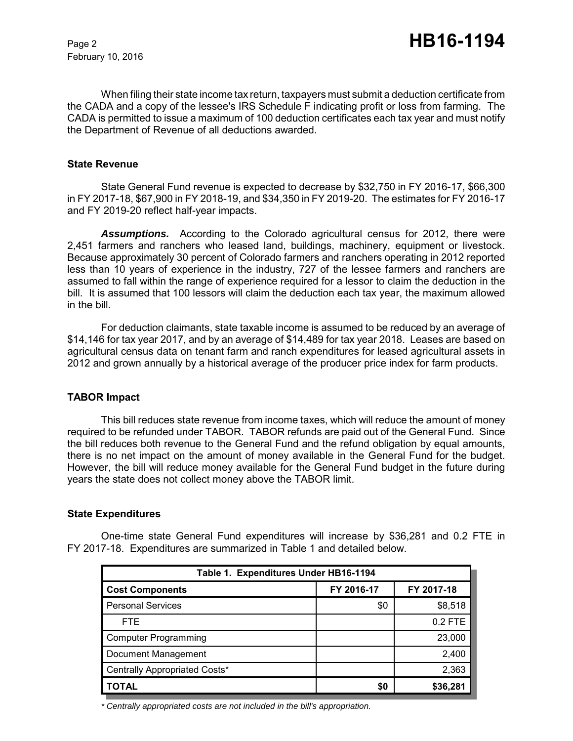February 10, 2016

When filing their state income tax return, taxpayers must submit a deduction certificate from the CADA and a copy of the lessee's IRS Schedule F indicating profit or loss from farming. The CADA is permitted to issue a maximum of 100 deduction certificates each tax year and must notify the Department of Revenue of all deductions awarded.

#### **State Revenue**

State General Fund revenue is expected to decrease by \$32,750 in FY 2016-17, \$66,300 in FY 2017-18, \$67,900 in FY 2018-19, and \$34,350 in FY 2019-20. The estimates for FY 2016-17 and FY 2019-20 reflect half-year impacts.

*Assumptions.* According to the Colorado agricultural census for 2012, there were 2,451 farmers and ranchers who leased land, buildings, machinery, equipment or livestock. Because approximately 30 percent of Colorado farmers and ranchers operating in 2012 reported less than 10 years of experience in the industry, 727 of the lessee farmers and ranchers are assumed to fall within the range of experience required for a lessor to claim the deduction in the bill. It is assumed that 100 lessors will claim the deduction each tax year, the maximum allowed in the bill.

For deduction claimants, state taxable income is assumed to be reduced by an average of \$14,146 for tax year 2017, and by an average of \$14,489 for tax year 2018. Leases are based on agricultural census data on tenant farm and ranch expenditures for leased agricultural assets in 2012 and grown annually by a historical average of the producer price index for farm products.

### **TABOR Impact**

This bill reduces state revenue from income taxes, which will reduce the amount of money required to be refunded under TABOR. TABOR refunds are paid out of the General Fund. Since the bill reduces both revenue to the General Fund and the refund obligation by equal amounts, there is no net impact on the amount of money available in the General Fund for the budget. However, the bill will reduce money available for the General Fund budget in the future during years the state does not collect money above the TABOR limit.

#### **State Expenditures**

One-time state General Fund expenditures will increase by \$36,281 and 0.2 FTE in FY 2017-18. Expenditures are summarized in Table 1 and detailed below.

| Table 1. Expenditures Under HB16-1194 |            |            |  |  |  |  |
|---------------------------------------|------------|------------|--|--|--|--|
| <b>Cost Components</b>                | FY 2016-17 | FY 2017-18 |  |  |  |  |
| <b>Personal Services</b>              | \$0        | \$8,518    |  |  |  |  |
| FTE.                                  |            | $0.2$ FTE  |  |  |  |  |
| <b>Computer Programming</b>           |            | 23,000     |  |  |  |  |
| Document Management                   |            | 2,400      |  |  |  |  |
| Centrally Appropriated Costs*         |            | 2,363      |  |  |  |  |
| <b>TOTAL</b>                          | \$0        | \$36,281   |  |  |  |  |

*\* Centrally appropriated costs are not included in the bill's appropriation.*